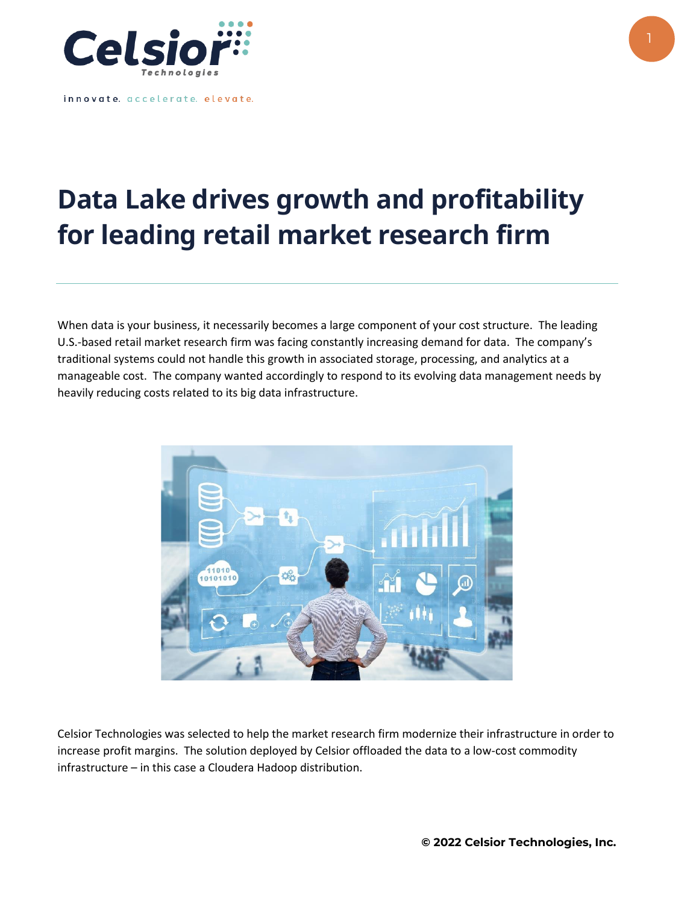

innovate. accelerate. elevate.

## **Data Lake drives growth and profitability for leading retail market research firm**

When data is your business, it necessarily becomes a large component of your cost structure. The leading U.S.-based retail market research firm was facing constantly increasing demand for data. The company's traditional systems could not handle this growth in associated storage, processing, and analytics at a manageable cost. The company wanted accordingly to respond to its evolving data management needs by heavily reducing costs related to its big data infrastructure.



Celsior Technologies was selected to help the market research firm modernize their infrastructure in order to increase profit margins. The solution deployed by Celsior offloaded the data to a low-cost commodity infrastructure – in this case a Cloudera Hadoop distribution.